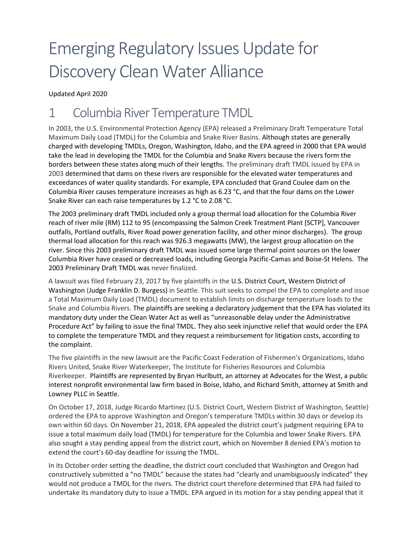# Emerging Regulatory Issues Update for Discovery Clean Water Alliance

Updated April 2020

# 1 Columbia River Temperature TMDL

In 2003, the U.S. Environmental Protection Agency (EPA) released a Preliminary Draft Temperature Total Maximum Daily Load (TMDL) for the Columbia and Snake River Basins. Although states are generally charged with developing TMDLs, Oregon, Washington, Idaho, and the EPA agreed in 2000 that EPA would take the lead in developing the TMDL for the Columbia and Snake Rivers because the rivers form the borders between these states along much of their lengths. The preliminary draft TMDL issued by EPA in 2003 determined that dams on these rivers are responsible for the elevated water temperatures and exceedances of water quality standards. For example, EPA concluded that Grand Coulee dam on the Columbia River causes temperature increases as high as 6.23 °C, and that the four dams on the Lower Snake River can each raise temperatures by 1.2 °C to 2.08 °C.

The 2003 preliminary draft TMDL included only a group thermal load allocation for the Columbia River reach of river mile (RM) 112 to 95 (encompassing the Salmon Creek Treatment Plant [SCTP], Vancouver outfalls, Portland outfalls, River Road power generation facility, and other minor discharges). The group thermal load allocation for this reach was 926.3 megawatts (MW), the largest group allocation on the river. Since this 2003 preliminary draft TMDL was issued some large thermal point sources on the lower Columbia River have ceased or decreased loads, including Georgia Pacific-Camas and Boise-St Helens. The 2003 Preliminary Draft TMDL was never finalized.

A lawsuit was filed February 23, 2017 by five plaintiffs in the U.S. District Court, Western District of Washington (Judge Franklin D. Burgess) in Seattle. This suit seeks to compel the EPA to complete and issue a Total Maximum Daily Load (TMDL) document to establish limits on discharge temperature loads to the Snake and Columbia Rivers. The plaintiffs are seeking a declaratory judgement that the EPA has violated its mandatory duty under the Clean Water Act as well as "unreasonable delay under the Administrative Procedure Act" by failing to issue the final TMDL. They also seek injunctive relief that would order the EPA to complete the temperature TMDL and they request a reimbursement for litigation costs, according to the complaint.

The five plaintiffs in the new lawsuit are the Pacific Coast Federation of Fishermen's Organizations, Idaho Rivers United, Snake River Waterkeeper, The Institute for Fisheries Resources and Columbia Riverkeeper. Plaintiffs are represented by Bryan Hurlbutt, an attorney at Advocates for the West, a public interest nonprofit environmental law firm based in Boise, Idaho, and Richard Smith, attorney at Smith and Lowney PLLC in Seattle.

On October 17, 2018, Judge Ricardo Martinez (U.S. District Court, Western District of Washington, Seattle) ordered the EPA to approve Washington and Oregon's temperature TMDLs within 30 days or develop its own within 60 days. On November 21, 2018, EPA appealed the district court's judgment requiring EPA to issue a total maximum daily load (TMDL) for temperature for the Columbia and lower Snake Rivers. EPA also sought a stay pending appeal from the district court, which on November 8 denied EPA's motion to extend the court's 60-day deadline for issuing the TMDL.

In its October order setting the deadline, the district court concluded that Washington and Oregon had constructively submitted a "no TMDL" because the states had "clearly and unambiguously indicated" they would not produce a TMDL for the rivers. The district court therefore determined that EPA had failed to undertake its mandatory duty to issue a TMDL. EPA argued in its motion for a stay pending appeal that it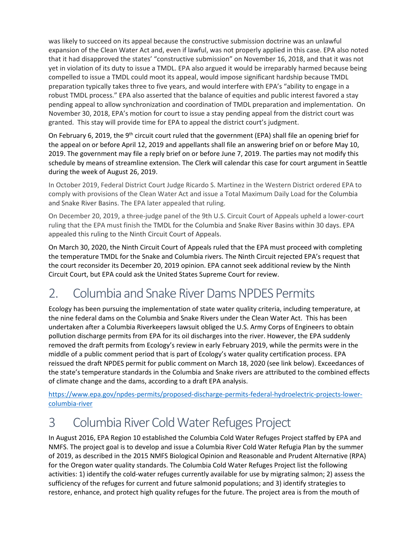was likely to succeed on its appeal because the constructive submission doctrine was an unlawful expansion of the Clean Water Act and, even if lawful, was not properly applied in this case. EPA also noted that it had disapproved the states' "constructive submission" on November 16, 2018, and that it was not yet in violation of its duty to issue a TMDL. EPA also argued it would be irreparably harmed because being compelled to issue a TMDL could moot its appeal, would impose significant hardship because TMDL preparation typically takes three to five years, and would interfere with EPA's "ability to engage in a robust TMDL process." EPA also asserted that the balance of equities and public interest favored a stay pending appeal to allow synchronization and coordination of TMDL preparation and implementation. On November 30, 2018, EPA's motion for court to issue a stay pending appeal from the district court was granted. This stay will provide time for EPA to appeal the district court's judgment.

On February 6, 2019, the 9<sup>th</sup> circuit court ruled that the government (EPA) shall file an opening brief for the appeal on or before April 12, 2019 and appellants shall file an answering brief on or before May 10, 2019. The government may file a reply brief on or before June 7, 2019. The parties may not modify this schedule by means of streamline extension. The Clerk will calendar this case for court argument in Seattle during the week of August 26, 2019.

In October 2019, Federal District Court Judge Ricardo S. Martinez in the Western District ordered EPA to comply with provisions of the Clean Water Act and issue a Total Maximum Daily Load for the Columbia and Snake River Basins. The EPA later appealed that ruling.

On December 20, 2019, a three-judge panel of the 9th U.S. Circuit Court of Appeals upheld a lower-court ruling that the EPA must finish the TMDL for the Columbia and Snake River Basins within 30 days. EPA appealed this ruling to the Ninth Circuit Court of Appeals.

On March 30, 2020, the Ninth Circuit Court of Appeals ruled that the EPA must proceed with completing the temperature TMDL for the Snake and Columbia rivers. The Ninth Circuit rejected EPA's request that the court reconsider its December 20, 2019 opinion. EPA cannot seek additional review by the Ninth Circuit Court, but EPA could ask the United States Supreme Court for review.

## 2. Columbia and Snake River Dams NPDES Permits

Ecology has been pursuing the implementation of state water quality criteria, including temperature, at the nine federal dams on the Columbia and Snake Rivers under the Clean Water Act. This has been undertaken after a Columbia Riverkeepers lawsuit obliged the U.S. Army Corps of Engineers to obtain pollution discharge permits from EPA for its oil discharges into the river. However, the EPA suddenly removed the draft permits from Ecology's review in early February 2019, while the permits were in the middle of a public comment period that is part of Ecology's water quality certification process. EPA reissued the draft NPDES permit for public comment on March 18, 2020 (see link below). Exceedances of the state's temperature standards in the Columbia and Snake rivers are attributed to the combined effects of climate change and the dams, according to a draft EPA analysis.

[https://www.epa.gov/npdes-permits/proposed-discharge-permits-federal-hydroelectric-projects-lower](https://www.epa.gov/npdes-permits/proposed-discharge-permits-federal-hydroelectric-projects-lower-columbia-river)[columbia-river](https://www.epa.gov/npdes-permits/proposed-discharge-permits-federal-hydroelectric-projects-lower-columbia-river)

## 3 Columbia River Cold Water Refuges Project

In August 2016, EPA Region 10 established the Columbia Cold Water Refuges Project staffed by EPA and NMFS. The project goal is to develop and issue a Columbia River Cold Water Refugia Plan by the summer of 2019, as described in the 2015 NMFS Biological Opinion and Reasonable and Prudent Alternative (RPA) for the Oregon water quality standards. The Columbia Cold Water Refuges Project list the following activities: 1) identify the cold-water refuges currently available for use by migrating salmon; 2) assess the sufficiency of the refuges for current and future salmonid populations; and 3) identify strategies to restore, enhance, and protect high quality refuges for the future. The project area is from the mouth of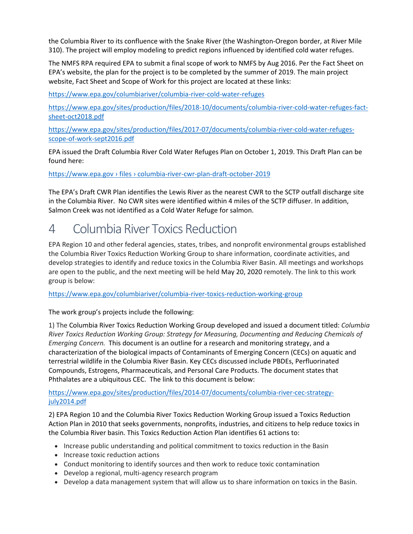the Columbia River to its confluence with the Snake River (the Washington-Oregon border, at River Mile 310). The project will employ modeling to predict regions influenced by identified cold water refuges.

The NMFS RPA required EPA to submit a final scope of work to NMFS by Aug 2016. Per the Fact Sheet on EPA's website, the plan for the project is to be completed by the summer of 2019. The main project website, Fact Sheet and Scope of Work for this project are located at these links:

<https://www.epa.gov/columbiariver/columbia-river-cold-water-refuges>

[https://www.epa.gov/sites/production/files/2018-10/documents/columbia-river-cold-water-refuges-fact](https://www.epa.gov/sites/production/files/2018-10/documents/columbia-river-cold-water-refuges-fact-sheet-oct2018.pdf)[sheet-oct2018.pdf](https://www.epa.gov/sites/production/files/2018-10/documents/columbia-river-cold-water-refuges-fact-sheet-oct2018.pdf)

[https://www.epa.gov/sites/production/files/2017-07/documents/columbia-river-cold-water-refuges](https://www.epa.gov/sites/production/files/2017-07/documents/columbia-river-cold-water-refuges-scope-of-work-sept2016.pdf)[scope-of-work-sept2016.pdf](https://www.epa.gov/sites/production/files/2017-07/documents/columbia-river-cold-water-refuges-scope-of-work-sept2016.pdf)

EPA issued the Draft Columbia River Cold Water Refuges Plan on October 1, 2019. This Draft Plan can be found here:

https://www.epa.gov › files › columbia-river-cwr-plan-draft-october-2019

The EPA's Draft CWR Plan identifies the Lewis River as the nearest CWR to the SCTP outfall discharge site in the Columbia River. No CWR sites were identified within 4 miles of the SCTP diffuser. In addition, Salmon Creek was not identified as a Cold Water Refuge for salmon.

#### 4 Columbia River Toxics Reduction

EPA Region 10 and other federal agencies, states, tribes, and nonprofit environmental groups established the Columbia River Toxics Reduction Working Group to share information, coordinate activities, and develop strategies to identify and reduce toxics in the Columbia River Basin. All meetings and workshops are open to the public, and the next meeting will be held May 20, 2020 remotely. The link to this work group is below:

<https://www.epa.gov/columbiariver/columbia-river-toxics-reduction-working-group>

The work group's projects include the following:

1) The Columbia River Toxics Reduction Working Group developed and issued a document titled: *Columbia River Toxics Reduction Working Group: Strategy for Measuring, Documenting and Reducing Chemicals of Emerging Concern.* This document is an outline for a research and monitoring strategy, and a characterization of the biological impacts of Contaminants of Emerging Concern (CECs) on aquatic and terrestrial wildlife in the Columbia River Basin. Key CECs discussed include PBDEs, Perfluorinated Compounds, Estrogens, Pharmaceuticals, and Personal Care Products. The document states that Phthalates are a ubiquitous CEC. The link to this document is below:

[https://www.epa.gov/sites/production/files/2014-07/documents/columbia-river-cec-strategy](https://www.epa.gov/sites/production/files/2014-07/documents/columbia-river-cec-strategy-july2014.pdf)[july2014.pdf](https://www.epa.gov/sites/production/files/2014-07/documents/columbia-river-cec-strategy-july2014.pdf)

2) EPA Region 10 and the Columbia River Toxics Reduction Working Group issued a Toxics Reduction Action Plan in 2010 that seeks governments, nonprofits, industries, and citizens to help reduce toxics in the Columbia River basin. This Toxics Reduction Action Plan identifies 61 actions to:

- Increase public understanding and political commitment to toxics reduction in the Basin
- Increase toxic reduction actions
- Conduct monitoring to identify sources and then work to reduce toxic contamination
- Develop a regional, multi-agency research program
- Develop a data management system that will allow us to share information on toxics in the Basin.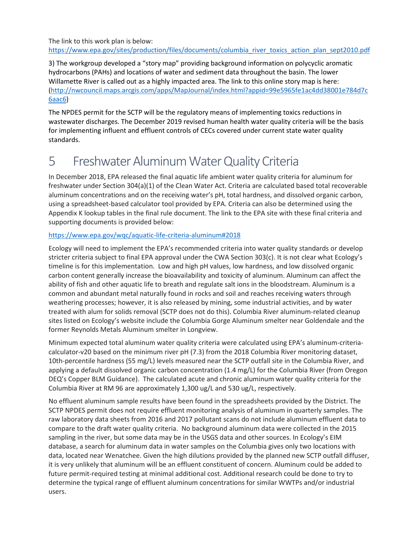The link to this work plan is below: https://www.epa.gov/sites/production/files/documents/columbia river toxics action plan sept2010.pdf

3) The workgroup developed a "story map" providing background information on polycyclic aromatic hydrocarbons (PAHs) and locations of water and sediment data throughout the basin. The lower Willamette River is called out as a highly impacted area. The link to this online story map is here: [\(http://nwcouncil.maps.arcgis.com/apps/MapJournal/index.html?appid=99e5965fe1ac4dd38001e784d7c](http://nwcouncil.maps.arcgis.com/apps/MapJournal/index.html?appid=99e5965fe1ac4dd38001e784d7c6aac6) [6aac6\)](http://nwcouncil.maps.arcgis.com/apps/MapJournal/index.html?appid=99e5965fe1ac4dd38001e784d7c6aac6)

The NPDES permit for the SCTP will be the regulatory means of implementing toxics reductions in wastewater discharges. The December 2019 revised human health water quality criteria will be the basis for implementing influent and effluent controls of CECs covered under current state water quality standards.

#### 5 Freshwater Aluminum Water Quality Criteria

In December 2018, EPA released the final aquatic life ambient water quality criteria for aluminum for freshwater under Section 304(a)(1) of the Clean Water Act. Criteria are calculated based total recoverable aluminum concentrations and on the receiving water's pH, total hardness, and dissolved organic carbon, using a spreadsheet-based calculator tool provided by EPA. Criteria can also be determined using the Appendix K lookup tables in the final rule document. The link to the EPA site with these final criteria and supporting documents is provided below:

#### <https://www.epa.gov/wqc/aquatic-life-criteria-aluminum#2018>

Ecology will need to implement the EPA's recommended criteria into water quality standards or develop stricter criteria subject to final EPA approval under the CWA Section 303(c). It is not clear what Ecology's timeline is for this implementation. Low and high pH values, low hardness, and low dissolved organic carbon content generally increase the bioavailability and toxicity of aluminum. Aluminum can affect the ability of fish and other aquatic life to breath and regulate salt ions in the bloodstream. Aluminum is a common and abundant metal naturally found in rocks and soil and reaches receiving waters through weathering processes; however, it is also released by mining, some industrial activities, and by water treated with alum for solids removal (SCTP does not do this). Columbia River aluminum-related cleanup sites listed on Ecology's website include the Columbia Gorge Aluminum smelter near Goldendale and the former Reynolds Metals Aluminum smelter in Longview.

Minimum expected total aluminum water quality criteria were calculated using EPA's aluminum-criteriacalculator-v20 based on the minimum river pH (7.3) from the 2018 Columbia River monitoring dataset, 10th-percentile hardness (55 mg/L) levels measured near the SCTP outfall site in the Columbia River, and applying a default dissolved organic carbon concentration (1.4 mg/L) for the Columbia River (from Oregon DEQ's Copper BLM Guidance). The calculated acute and chronic aluminum water quality criteria for the Columbia River at RM 96 are approximately 1,300 ug/L and 530 ug/L, respectively.

No effluent aluminum sample results have been found in the spreadsheets provided by the District. The SCTP NPDES permit does not require effluent monitoring analysis of aluminum in quarterly samples. The raw laboratory data sheets from 2016 and 2017 pollutant scans do not include aluminum effluent data to compare to the draft water quality criteria. No background aluminum data were collected in the 2015 sampling in the river, but some data may be in the USGS data and other sources. In Ecology's EIM database, a search for aluminum data in water samples on the Columbia gives only two locations with data, located near Wenatchee. Given the high dilutions provided by the planned new SCTP outfall diffuser, it is very unlikely that aluminum will be an effluent constituent of concern. Aluminum could be added to future permit-required testing at minimal additional cost. Additional research could be done to try to determine the typical range of effluent aluminum concentrations for similar WWTPs and/or industrial users.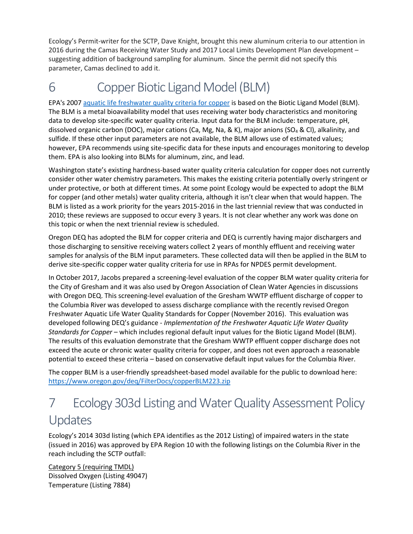Ecology's Permit-writer for the SCTP, Dave Knight, brought this new aluminum criteria to our attention in 2016 during the Camas Receiving Water Study and 2017 Local Limits Development Plan development – suggesting addition of background sampling for aluminum. Since the permit did not specify this parameter, Camas declined to add it.

# 6 Copper Biotic Ligand Model (BLM)

EPA's 200[7 aquatic life freshwater quality criteria for copper](https://www.epa.gov/wqc/aquatic-life-criteria-copper) is based on the Biotic Ligand Model (BLM). The BLM is a metal bioavailability model that uses receiving water body characteristics and monitoring data to develop site-specific water quality criteria. Input data for the BLM include: temperature, pH, dissolved organic carbon (DOC), major cations (Ca, Mg, Na, & K), major anions (SO4 & Cl), alkalinity, and sulfide. If these other input parameters are not available, the BLM allows use of estimated values; however, EPA recommends using site-specific data for these inputs and encourages monitoring to develop them. EPA is also looking into BLMs for aluminum, zinc, and lead.

Washington state's existing hardness-based water quality criteria calculation for copper does not currently consider other water chemistry parameters. This makes the existing criteria potentially overly stringent or under protective, or both at different times. At some point Ecology would be expected to adopt the BLM for copper (and other metals) water quality criteria, although it isn't clear when that would happen. The BLM is listed as a work priority for the years 2015-2016 in the last triennial review that was conducted in 2010; these reviews are supposed to occur every 3 years. It is not clear whether any work was done on this topic or when the next triennial review is scheduled.

Oregon DEQ has adopted the BLM for copper criteria and DEQ is currently having major dischargers and those discharging to sensitive receiving waters collect 2 years of monthly effluent and receiving water samples for analysis of the BLM input parameters. These collected data will then be applied in the BLM to derive site-specific copper water quality criteria for use in RPAs for NPDES permit development.

In October 2017, Jacobs prepared a screening-level evaluation of the copper BLM water quality criteria for the City of Gresham and it was also used by Oregon Association of Clean Water Agencies in discussions with Oregon DEQ. This screening-level evaluation of the Gresham WWTP effluent discharge of copper to the Columbia River was developed to assess discharge compliance with the recently revised Oregon Freshwater Aquatic Life Water Quality Standards for Copper (November 2016). This evaluation was developed following DEQ's guidance - *Implementation of the Freshwater Aquatic Life Water Quality Standards for Copper* – which includes regional default input values for the Biotic Ligand Model (BLM). The results of this evaluation demonstrate that the Gresham WWTP effluent copper discharge does not exceed the acute or chronic water quality criteria for copper, and does not even approach a reasonable potential to exceed these criteria – based on conservative default input values for the Columbia River.

The copper BLM is a user-friendly spreadsheet-based model available for the public to download here: https://www.oregon.gov/deq/FilterDocs/copperBLM223.zip

## 7 Ecology 303d Listing and Water Quality Assessment Policy Updates

Ecology's 2014 303d listing (which EPA identifies as the 2012 Listing) of impaired waters in the state (issued in 2016) was approved by EPA Region 10 with the following listings on the Columbia River in the reach including the SCTP outfall:

Category 5 (requiring TMDL) Dissolved Oxygen (Listing 49047) Temperature (Listing 7884)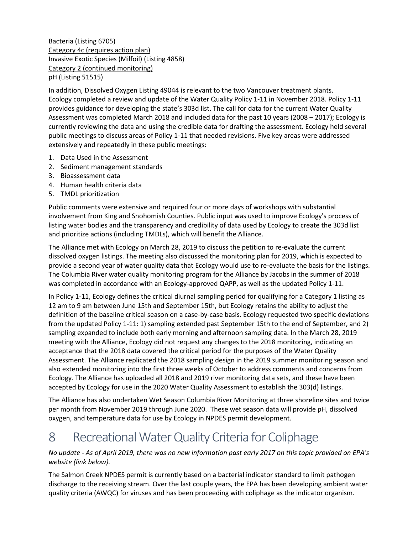Bacteria (Listing 6705) Category 4c (requires action plan) Invasive Exotic Species (Milfoil) (Listing 4858) Category 2 (continued monitoring) pH (Listing 51515)

In addition, Dissolved Oxygen Listing 49044 is relevant to the two Vancouver treatment plants. Ecology completed a review and update of the Water Quality Policy 1-11 in November 2018. Policy 1-11 provides guidance for developing the state's 303d list. The call for data for the current Water Quality Assessment was completed March 2018 and included data for the past 10 years (2008 – 2017); Ecology is currently reviewing the data and using the credible data for drafting the assessment. Ecology held several public meetings to discuss areas of Policy 1-11 that needed revisions. Five key areas were addressed extensively and repeatedly in these public meetings:

- 1. Data Used in the Assessment
- 2. Sediment management standards
- 3. Bioassessment data
- 4. Human health criteria data
- 5. TMDL prioritization

Public comments were extensive and required four or more days of workshops with substantial involvement from King and Snohomish Counties. Public input was used to improve Ecology's process of listing water bodies and the transparency and credibility of data used by Ecology to create the 303d list and prioritize actions (including TMDLs), which will benefit the Alliance.

The Alliance met with Ecology on March 28, 2019 to discuss the petition to re-evaluate the current dissolved oxygen listings. The meeting also discussed the monitoring plan for 2019, which is expected to provide a second year of water quality data that Ecology would use to re-evaluate the basis for the listings. The Columbia River water quality monitoring program for the Alliance by Jacobs in the summer of 2018 was completed in accordance with an Ecology-approved QAPP, as well as the updated Policy 1-11.

In Policy 1-11, Ecology defines the critical diurnal sampling period for qualifying for a Category 1 listing as 12 am to 9 am between June 15th and September 15th, but Ecology retains the ability to adjust the definition of the baseline critical season on a case-by-case basis. Ecology requested two specific deviations from the updated Policy 1-11: 1) sampling extended past September 15th to the end of September, and 2) sampling expanded to include both early morning and afternoon sampling data. In the March 28, 2019 meeting with the Alliance, Ecology did not request any changes to the 2018 monitoring, indicating an acceptance that the 2018 data covered the critical period for the purposes of the Water Quality Assessment. The Alliance replicated the 2018 sampling design in the 2019 summer monitoring season and also extended monitoring into the first three weeks of October to address comments and concerns from Ecology. The Alliance has uploaded all 2018 and 2019 river monitoring data sets, and these have been accepted by Ecology for use in the 2020 Water Quality Assessment to establish the 303(d) listings.

The Alliance has also undertaken Wet Season Columbia River Monitoring at three shoreline sites and twice per month from November 2019 through June 2020. These wet season data will provide pH, dissolved oxygen, and temperature data for use by Ecology in NPDES permit development.

#### 8 Recreational Water Quality Criteria for Coliphage

*No update - As of April 2019, there was no new information past early 2017 on this topic provided on EPA's website (link below).*

The Salmon Creek NPDES permit is currently based on a bacterial indicator standard to limit pathogen discharge to the receiving stream. Over the last couple years, the EPA has been developing ambient water quality criteria (AWQC) for viruses and has been proceeding with coliphage as the indicator organism.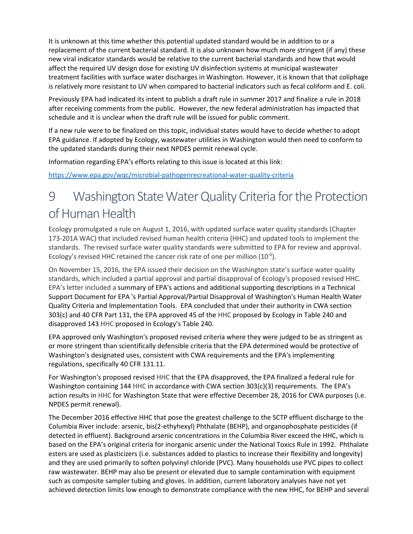It is unknown at this time whether this potential updated standard would be in addition to or a replacement of the current bacterial standard. It is also unknown how much more stringent (if any) these new viral indicator standards would be relative to the current bacterial standards and how that would affect the required UV design dose for existing UV disinfection systems at municipal wastewater treatment facilities with surface water discharges in Washington. However, it is known that that coliphage is relatively more resistant to UV when compared to bacterial indicators such as fecal coliform and E. coli.

Previously EPA had indicated its intent to publish a draft rule in summer 2017 and finalize a rule in 2018 after receiving comments from the public. However, the new federal administration has impacted that schedule and it is unclear when the draft rule will be issued for public comment.

If a new rule were to be finalized on this topic, individual states would have to decide whether to adopt EPA guidance. If adopted by Ecology, wastewater utilities in Washington would then need to conform to the updated standards during their next NPDES permit renewal cycle.

Information regarding EPA's efforts relating to this issue is located at this link:

<https://www.epa.gov/wqc/microbial-pathogenrecreational-water-quality-criteria>

## 9 Washington State Water Quality Criteria for the Protection of Human Health

Ecology promulgated a rule on August 1, 2016, with updated surface water quality standards (Chapter 173-201A WAC) that included revised human health criteria (HHC) and updated tools to implement the standards. The revised surface water quality standards were submitted to EPA for review and approval. Ecology's revised HHC retained the cancer risk rate of one per million  $(10^{-6})$ .

On November 15, 2016, the EPA issued their decision on the Washington state's surface water quality standards, which included a partial approval and partial disapproval of Ecology's proposed revised HHC. EPA's letter included a summary of EPA's actions and additional supporting descriptions in a Technical Support Document for EPA 's Partial Approval/Partial Disapproval of Washington's Human Health Water Quality Criteria and Implementation Tools. EPA concluded that under their authority in CWA section 303(c) and 40 CFR Part 131, the EPA approved 45 of the HHC proposed by Ecology in Table 240 and disapproved 143 HHC proposed in Ecology's Table 240.

EPA approved only Washington's proposed revised criteria where they were judged to be as stringent as or more stringent than scientifically defensible criteria that the EPA determined would be protective of Washington's designated uses, consistent with CWA requirements and the EPA's implementing regulations, specifically 40 CFR 131.11.

For Washington's proposed revised HHC that the EPA disapproved, the EPA finalized a federal rule for Washington containing 144 HHC in accordance with CWA section 303(c)(3) requirements. The EPA's action results in HHC for Washington State that were effective December 28, 2016 for CWA purposes (i.e. NPDES permit renewal).

The December 2016 effective HHC that pose the greatest challenge to the SCTP effluent discharge to the Columbia River include: arsenic, bis(2-ethyhexyl) Phthalate (BEHP), and organophosphate pesticides (if detected in effluent). Background arsenic concentrations in the Columbia River exceed the HHC, which is based on the EPA's original criteria for inorganic arsenic under the National Toxics Rule in 1992. Phthalate esters are used as plasticizers (i.e. substances added to plastics to increase their flexibility and longevity) and they are used primarily to soften polyvinyl chloride (PVC). Many households use PVC pipes to collect raw wastewater. BEHP may also be present or elevated due to sample contamination with equipment such as composite sampler tubing and gloves. In addition, current laboratory analyses have not yet achieved detection limits low enough to demonstrate compliance with the new HHC, for BEHP and several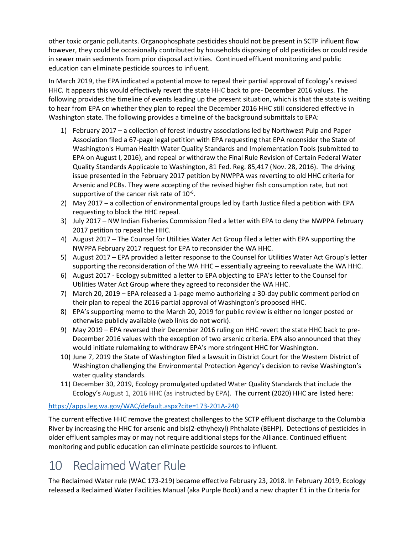other toxic organic pollutants. Organophosphate pesticides should not be present in SCTP influent flow however, they could be occasionally contributed by households disposing of old pesticides or could reside in sewer main sediments from prior disposal activities. Continued effluent monitoring and public education can eliminate pesticide sources to influent.

In March 2019, the EPA indicated a potential move to repeal their partial approval of Ecology's revised HHC. It appears this would effectively revert the state HHC back to pre- December 2016 values. The following provides the timeline of events leading up the present situation, which is that the state is waiting to hear from EPA on whether they plan to repeal the December 2016 HHC still considered effective in Washington state. The following provides a timeline of the background submittals to EPA:

- 1) February 2017 a collection of forest industry associations led by Northwest Pulp and Paper Association filed a 67-page legal petition with EPA requesting that EPA reconsider the State of Washington's Human Health Water Quality Standards and Implementation Tools (submitted to EPA on August I, 2016), and repeal or withdraw the Final Rule Revision of Certain Federal Water Quality Standards Applicable to Washington, 81 Fed. Reg. 85,417 (Nov. 28, 2016). The driving issue presented in the February 2017 petition by NWPPA was reverting to old HHC criteria for Arsenic and PCBs. They were accepting of the revised higher fish consumption rate, but not supportive of the cancer risk rate of  $10^{-6}$ .
- 2) May 2017 a collection of environmental groups led by Earth Justice filed a petition with EPA requesting to block the HHC repeal.
- 3) July 2017 NW Indian Fisheries Commission filed a letter with EPA to deny the NWPPA February 2017 petition to repeal the HHC.
- 4) August 2017 The Counsel for Utilities Water Act Group filed a letter with EPA supporting the NWPPA February 2017 request for EPA to reconsider the WA HHC.
- 5) August 2017 EPA provided a letter response to the Counsel for Utilities Water Act Group's letter supporting the reconsideration of the WA HHC – essentially agreeing to reevaluate the WA HHC.
- 6) August 2017 Ecology submitted a letter to EPA objecting to EPA's letter to the Counsel for Utilities Water Act Group where they agreed to reconsider the WA HHC.
- 7) March 20, 2019 EPA released a 1-page memo authorizing a 30-day public comment period on their plan to repeal the 2016 partial approval of Washington's proposed HHC.
- 8) EPA's supporting memo to the March 20, 2019 for public review is either no longer posted or otherwise publicly available (web links do not work).
- 9) May 2019 EPA reversed their December 2016 ruling on HHC revert the state HHC back to pre-December 2016 values with the exception of two arsenic criteria. EPA also announced that they would initiate rulemaking to withdraw EPA's more stringent HHC for Washington.
- 10) June 7, 2019 the State of Washington filed a lawsuit in District Court for the Western District of Washington challenging the Environmental Protection Agency's decision to revise Washington's water quality standards.
- 11) December 30, 2019, Ecology promulgated updated Water Quality Standards that include the Ecology's August 1, 2016 HHC (as instructed by EPA). The current (2020) HHC are listed here:

#### <https://apps.leg.wa.gov/WAC/default.aspx?cite=173-201A-240>

The current effective HHC remove the greatest challenges to the SCTP effluent discharge to the Columbia River by increasing the HHC for arsenic and bis(2-ethyhexyl) Phthalate (BEHP). Detections of pesticides in older effluent samples may or may not require additional steps for the Alliance. Continued effluent monitoring and public education can eliminate pesticide sources to influent.

#### 10 Reclaimed Water Rule

The Reclaimed Water rule (WAC 173-219) became effective February 23, 2018. In February 2019, Ecology released a Reclaimed Water Facilities Manual (aka Purple Book) and a new chapter E1 in the Criteria for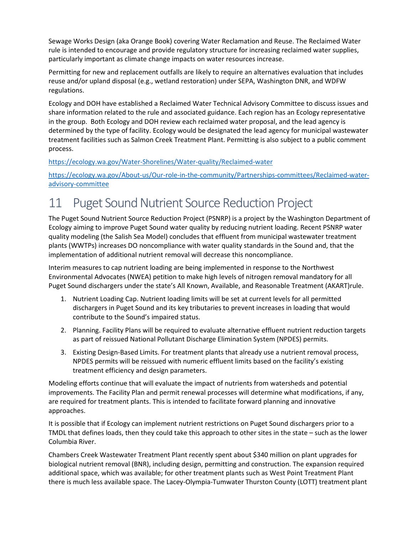Sewage Works Design (aka Orange Book) covering Water Reclamation and Reuse. The Reclaimed Water rule is intended to encourage and provide regulatory structure for increasing reclaimed water supplies, particularly important as climate change impacts on water resources increase.

Permitting for new and replacement outfalls are likely to require an alternatives evaluation that includes reuse and/or upland disposal (e.g., wetland restoration) under SEPA, Washington DNR, and WDFW regulations.

Ecology and DOH have established a Reclaimed Water Technical Advisory Committee to discuss issues and share information related to the rule and associated guidance. Each region has an Ecology representative in the group. Both Ecology and DOH review each reclaimed water proposal, and the lead agency is determined by the type of facility. Ecology would be designated the lead agency for municipal wastewater treatment facilities such as Salmon Creek Treatment Plant. Permitting is also subject to a public comment process.

#### <https://ecology.wa.gov/Water-Shorelines/Water-quality/Reclaimed-water>

[https://ecology.wa.gov/About-us/Our-role-in-the-community/Partnerships-committees/Reclaimed-water](https://ecology.wa.gov/About-us/Our-role-in-the-community/Partnerships-committees/Reclaimed-water-advisory-committee)[advisory-committee](https://ecology.wa.gov/About-us/Our-role-in-the-community/Partnerships-committees/Reclaimed-water-advisory-committee)

# 11 Puget Sound Nutrient Source Reduction Project

The Puget Sound Nutrient Source Reduction Project (PSNRP) is a project by the Washington Department of Ecology aiming to improve Puget Sound water quality by reducing nutrient loading. Recent PSNRP water quality modeling (the Salish Sea Model) concludes that effluent from municipal wastewater treatment plants (WWTPs) increases DO noncompliance with water quality standards in the Sound and, that the implementation of additional nutrient removal will decrease this noncompliance.

Interim measures to cap nutrient loading are being implemented in response to the Northwest Environmental Advocates (NWEA) petition to make high levels of nitrogen removal mandatory for all Puget Sound dischargers under the state's All Known, Available, and Reasonable Treatment (AKART)rule.

- 1. Nutrient Loading Cap. Nutrient loading limits will be set at current levels for all permitted dischargers in Puget Sound and its key tributaries to prevent increases in loading that would contribute to the Sound's impaired status.
- 2. Planning. Facility Plans will be required to evaluate alternative effluent nutrient reduction targets as part of reissued National Pollutant Discharge Elimination System (NPDES) permits.
- 3. Existing Design-Based Limits. For treatment plants that already use a nutrient removal process, NPDES permits will be reissued with numeric effluent limits based on the facility's existing treatment efficiency and design parameters.

Modeling efforts continue that will evaluate the impact of nutrients from watersheds and potential improvements. The Facility Plan and permit renewal processes will determine what modifications, if any, are required for treatment plants. This is intended to facilitate forward planning and innovative approaches.

It is possible that if Ecology can implement nutrient restrictions on Puget Sound dischargers prior to a TMDL that defines loads, then they could take this approach to other sites in the state – such as the lower Columbia River.

Chambers Creek Wastewater Treatment Plant recently spent about \$340 million on plant upgrades for biological nutrient removal (BNR), including design, permitting and construction. The expansion required additional space, which was available; for other treatment plants such as West Point Treatment Plant there is much less available space. The Lacey-Olympia-Tumwater Thurston County (LOTT) treatment plant